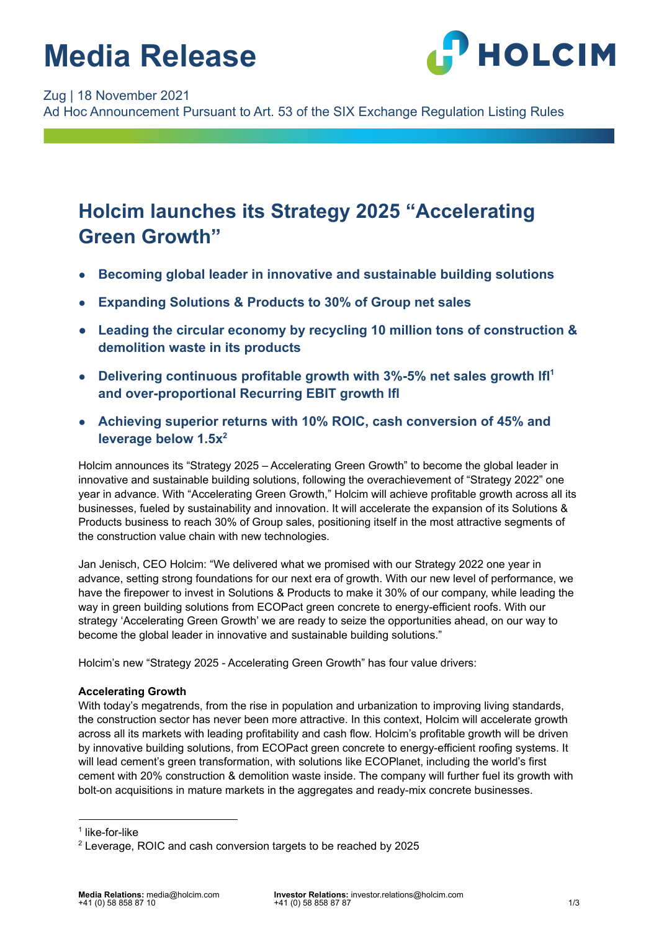# **Media Release**



Zug | 18 November 2021

Ad Hoc Announcement Pursuant to Art. 53 of the SIX Exchange Regulation Listing Rules

### **Holcim launches its Strategy 2025 "Accelerating Green Growth"**

- **Becoming global leader in innovative and sustainable building solutions**
- **Expanding Solutions & Products to 30% of Group net sales**
- **● Leading the circular economy by recycling 10 million tons of construction & demolition waste in its products**
- **Delivering continuous profitable growth with 3%-5% net sales growth lfl<sup>1</sup> and over-proportional Recurring EBIT growth lfl**
- **Achieving superior returns with 10% ROIC, cash conversion of 45% and leverage below 1.5x<sup>2</sup>**

Holcim announces its "Strategy 2025 – Accelerating Green Growth" to become the global leader in innovative and sustainable building solutions, following the overachievement of "Strategy 2022" one year in advance. With "Accelerating Green Growth," Holcim will achieve profitable growth across all its businesses, fueled by sustainability and innovation. It will accelerate the expansion of its Solutions & Products business to reach 30% of Group sales, positioning itself in the most attractive segments of the construction value chain with new technologies.

Jan Jenisch, CEO Holcim: "We delivered what we promised with our Strategy 2022 one year in advance, setting strong foundations for our next era of growth. With our new level of performance, we have the firepower to invest in Solutions & Products to make it 30% of our company, while leading the way in green building solutions from ECOPact green concrete to energy-efficient roofs. With our strategy 'Accelerating Green Growth' we are ready to seize the opportunities ahead, on our way to become the global leader in innovative and sustainable building solutions."

Holcim's new "Strategy 2025 - Accelerating Green Growth" has four value drivers:

### **Accelerating Growth**

With today's megatrends, from the rise in population and urbanization to improving living standards, the construction sector has never been more attractive. In this context, Holcim will accelerate growth across all its markets with leading profitability and cash flow. Holcim's profitable growth will be driven by innovative building solutions, from ECOPact green concrete to energy-efficient roofing systems. It will lead cement's green transformation, with solutions like ECOPlanet, including the world's first cement with 20% construction & demolition waste inside. The company will further fuel its growth with bolt-on acquisitions in mature markets in the aggregates and ready-mix concrete businesses.

<sup>1</sup> like-for-like

<sup>2</sup> Leverage, ROIC and cash conversion targets to be reached by 2025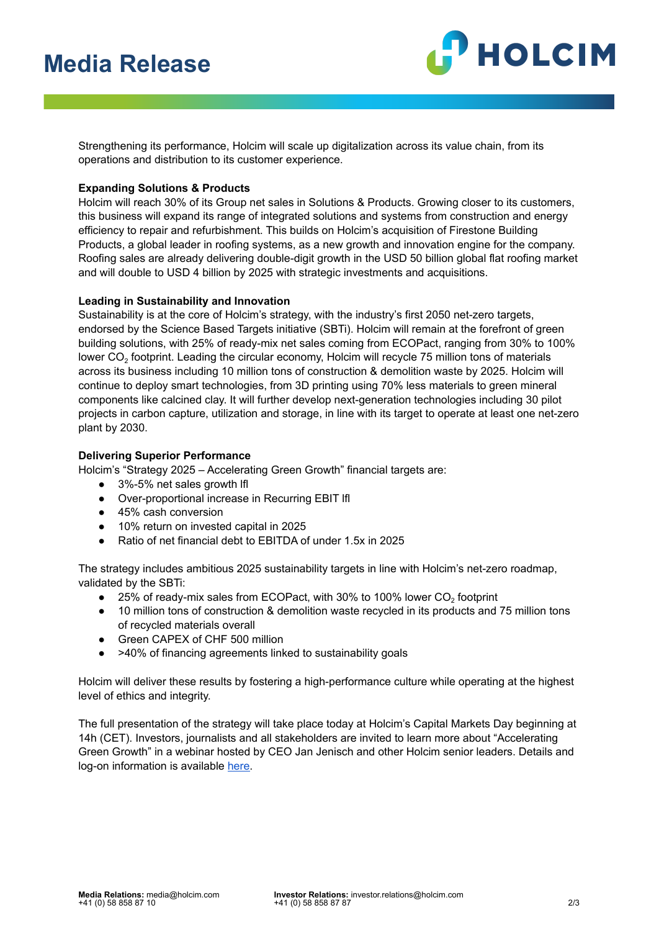## **Media Release**



Strengthening its performance, Holcim will scale up digitalization across its value chain, from its operations and distribution to its customer experience.

### **Expanding Solutions & Products**

Holcim will reach 30% of its Group net sales in Solutions & Products. Growing closer to its customers, this business will expand its range of integrated solutions and systems from construction and energy efficiency to repair and refurbishment. This builds on Holcim's acquisition of Firestone Building Products, a global leader in roofing systems, as a new growth and innovation engine for the company. Roofing sales are already delivering double-digit growth in the USD 50 billion global flat roofing market and will double to USD 4 billion by 2025 with strategic investments and acquisitions.

#### **Leading in Sustainability and Innovation**

Sustainability is at the core of Holcim's strategy, with the industry's first 2050 net-zero targets, endorsed by the Science Based Targets initiative (SBTi). Holcim will remain at the forefront of green building solutions, with 25% of ready-mix net sales coming from ECOPact, ranging from 30% to 100% lower CO<sub>2</sub> footprint. Leading the circular economy, Holcim will recycle 75 million tons of materials across its business including 10 million tons of construction & demolition waste by 2025. Holcim will continue to deploy smart technologies, from 3D printing using 70% less materials to green mineral components like calcined clay. It will further develop next-generation technologies including 30 pilot projects in carbon capture, utilization and storage, in line with its target to operate at least one net-zero plant by 2030.

#### **Delivering Superior Performance**

Holcim's "Strategy 2025 – Accelerating Green Growth" financial targets are:

- 3%-5% net sales growth Ifl
- Over-proportional increase in Recurring EBIT lfl
- 45% cash conversion
- 10% return on invested capital in 2025
- Ratio of net financial debt to EBITDA of under 1.5x in 2025

The strategy includes ambitious 2025 sustainability targets in line with Holcim's net-zero roadmap, validated by the SBTi:

- $\bullet$  25% of ready-mix sales from ECOPact, with 30% to 100% lower CO<sub>2</sub> footprint
- 10 million tons of construction & demolition waste recycled in its products and 75 million tons of recycled materials overall
- Green CAPEX of CHF 500 million
- >40% of financing agreements linked to sustainability goals

Holcim will deliver these results by fostering a high-performance culture while operating at the highest level of ethics and integrity.

The full presentation of the strategy will take place today at Holcim's Capital Markets Day beginning at 14h (CET). Investors, journalists and all stakeholders are invited to learn more about "Accelerating Green Growth" in a webinar hosted by CEO Jan Jenisch and other Holcim senior leaders. Details and log-on information is available [here.](https://www.holcim.com/capital-markets-day-2021?utm_medium=release&utm_source=media&utm_campaign=cmd2021)